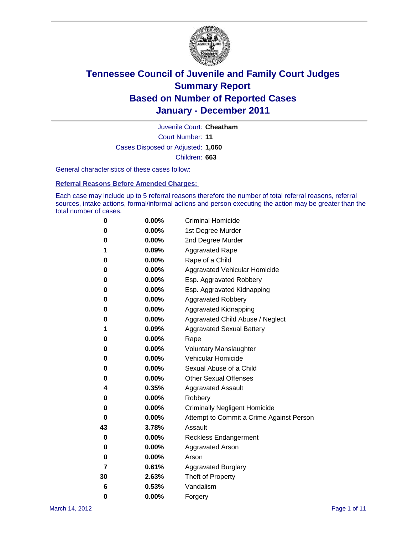

Court Number: **11** Juvenile Court: **Cheatham** Cases Disposed or Adjusted: **1,060** Children: **663**

General characteristics of these cases follow:

**Referral Reasons Before Amended Charges:** 

Each case may include up to 5 referral reasons therefore the number of total referral reasons, referral sources, intake actions, formal/informal actions and person executing the action may be greater than the total number of cases.

| 0  | 0.00%    | <b>Criminal Homicide</b>                 |
|----|----------|------------------------------------------|
| 0  | 0.00%    | 1st Degree Murder                        |
| 0  | 0.00%    | 2nd Degree Murder                        |
| 1  | 0.09%    | <b>Aggravated Rape</b>                   |
| 0  | 0.00%    | Rape of a Child                          |
| 0  | 0.00%    | Aggravated Vehicular Homicide            |
| 0  | 0.00%    | Esp. Aggravated Robbery                  |
| 0  | 0.00%    | Esp. Aggravated Kidnapping               |
| 0  | 0.00%    | <b>Aggravated Robbery</b>                |
| 0  | 0.00%    | Aggravated Kidnapping                    |
| 0  | 0.00%    | Aggravated Child Abuse / Neglect         |
| 1  | 0.09%    | <b>Aggravated Sexual Battery</b>         |
| 0  | 0.00%    | Rape                                     |
| 0  | $0.00\%$ | <b>Voluntary Manslaughter</b>            |
| 0  | 0.00%    | Vehicular Homicide                       |
| 0  | 0.00%    | Sexual Abuse of a Child                  |
| 0  | 0.00%    | <b>Other Sexual Offenses</b>             |
| 4  | 0.35%    | <b>Aggravated Assault</b>                |
| 0  | $0.00\%$ | Robbery                                  |
| 0  | 0.00%    | <b>Criminally Negligent Homicide</b>     |
| 0  | 0.00%    | Attempt to Commit a Crime Against Person |
| 43 | 3.78%    | Assault                                  |
| 0  | 0.00%    | <b>Reckless Endangerment</b>             |
| 0  | 0.00%    | <b>Aggravated Arson</b>                  |
| 0  | 0.00%    | Arson                                    |
| 7  | 0.61%    | <b>Aggravated Burglary</b>               |
| 30 | 2.63%    | Theft of Property                        |
| 6  | 0.53%    | Vandalism                                |
| 0  | 0.00%    | Forgery                                  |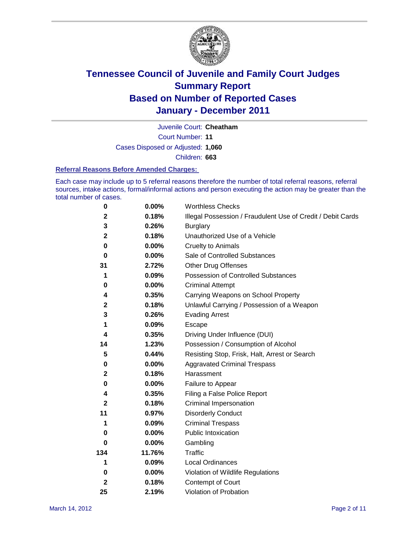

Court Number: **11** Juvenile Court: **Cheatham** Cases Disposed or Adjusted: **1,060** Children: **663**

#### **Referral Reasons Before Amended Charges:**

Each case may include up to 5 referral reasons therefore the number of total referral reasons, referral sources, intake actions, formal/informal actions and person executing the action may be greater than the total number of cases.

| $\pmb{0}$    | 0.00%    | <b>Worthless Checks</b>                                     |
|--------------|----------|-------------------------------------------------------------|
| 2            | 0.18%    | Illegal Possession / Fraudulent Use of Credit / Debit Cards |
| 3            | 0.26%    | <b>Burglary</b>                                             |
| $\mathbf{2}$ | 0.18%    | Unauthorized Use of a Vehicle                               |
| 0            | $0.00\%$ | <b>Cruelty to Animals</b>                                   |
| $\bf{0}$     | $0.00\%$ | Sale of Controlled Substances                               |
| 31           | 2.72%    | <b>Other Drug Offenses</b>                                  |
| 1            | 0.09%    | Possession of Controlled Substances                         |
| 0            | $0.00\%$ | <b>Criminal Attempt</b>                                     |
| 4            | 0.35%    | Carrying Weapons on School Property                         |
| $\mathbf 2$  | 0.18%    | Unlawful Carrying / Possession of a Weapon                  |
| 3            | 0.26%    | <b>Evading Arrest</b>                                       |
| 1            | 0.09%    | Escape                                                      |
| 4            | 0.35%    | Driving Under Influence (DUI)                               |
| 14           | 1.23%    | Possession / Consumption of Alcohol                         |
| 5            | 0.44%    | Resisting Stop, Frisk, Halt, Arrest or Search               |
| 0            | $0.00\%$ | <b>Aggravated Criminal Trespass</b>                         |
| $\mathbf 2$  | 0.18%    | Harassment                                                  |
| 0            | 0.00%    | Failure to Appear                                           |
| 4            | 0.35%    | Filing a False Police Report                                |
| $\mathbf{2}$ | 0.18%    | Criminal Impersonation                                      |
| 11           | 0.97%    | <b>Disorderly Conduct</b>                                   |
| 1            | 0.09%    | <b>Criminal Trespass</b>                                    |
| 0            | $0.00\%$ | Public Intoxication                                         |
| 0            | $0.00\%$ | Gambling                                                    |
| 134          | 11.76%   | <b>Traffic</b>                                              |
| 1            | 0.09%    | Local Ordinances                                            |
| 0            | $0.00\%$ | Violation of Wildlife Regulations                           |
| $\mathbf{2}$ | 0.18%    | Contempt of Court                                           |
| 25           | 2.19%    | Violation of Probation                                      |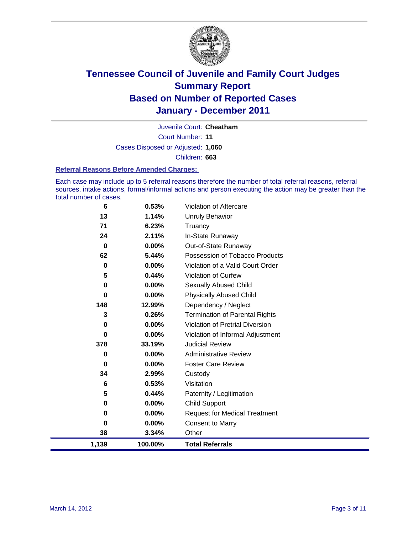

Court Number: **11** Juvenile Court: **Cheatham** Cases Disposed or Adjusted: **1,060** Children: **663**

#### **Referral Reasons Before Amended Charges:**

Each case may include up to 5 referral reasons therefore the number of total referral reasons, referral sources, intake actions, formal/informal actions and person executing the action may be greater than the total number of cases.

| 6        | 0.53%    | Violation of Aftercare                 |
|----------|----------|----------------------------------------|
| 13       | 1.14%    | <b>Unruly Behavior</b>                 |
| 71       | 6.23%    | Truancy                                |
| 24       | 2.11%    | In-State Runaway                       |
| 0        | $0.00\%$ | Out-of-State Runaway                   |
| 62       | 5.44%    | Possession of Tobacco Products         |
| 0        | $0.00\%$ | Violation of a Valid Court Order       |
| 5        | 0.44%    | Violation of Curfew                    |
| 0        | $0.00\%$ | Sexually Abused Child                  |
| $\bf{0}$ | $0.00\%$ | <b>Physically Abused Child</b>         |
| 148      | 12.99%   | Dependency / Neglect                   |
| 3        | 0.26%    | <b>Termination of Parental Rights</b>  |
| 0        | $0.00\%$ | <b>Violation of Pretrial Diversion</b> |
| $\bf{0}$ | 0.00%    | Violation of Informal Adjustment       |
| 378      | 33.19%   | <b>Judicial Review</b>                 |
| 0        | $0.00\%$ | <b>Administrative Review</b>           |
| 0        | $0.00\%$ | <b>Foster Care Review</b>              |
| 34       | 2.99%    | Custody                                |
| 6        | 0.53%    | Visitation                             |
| 5        | 0.44%    | Paternity / Legitimation               |
| 0        | $0.00\%$ | <b>Child Support</b>                   |
| 0        | $0.00\%$ | <b>Request for Medical Treatment</b>   |
| 0        | 0.00%    | <b>Consent to Marry</b>                |
| 38       | 3.34%    | Other                                  |
| 1,139    | 100.00%  | <b>Total Referrals</b>                 |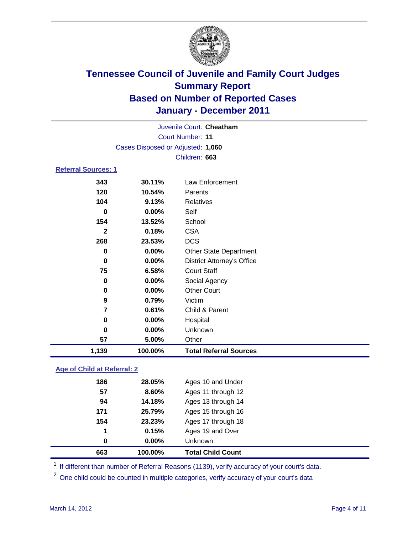

| Juvenile Court: Cheatham          |                            |                                   |  |  |  |
|-----------------------------------|----------------------------|-----------------------------------|--|--|--|
|                                   | <b>Court Number: 11</b>    |                                   |  |  |  |
| Cases Disposed or Adjusted: 1,060 |                            |                                   |  |  |  |
|                                   | Children: 663              |                                   |  |  |  |
|                                   | <b>Referral Sources: 1</b> |                                   |  |  |  |
| 343                               | 30.11%                     | Law Enforcement                   |  |  |  |
| 120                               | 10.54%                     | Parents                           |  |  |  |
| 104                               | 9.13%                      | <b>Relatives</b>                  |  |  |  |
| 0                                 | 0.00%                      | Self                              |  |  |  |
| 154                               | 13.52%                     | School                            |  |  |  |
| $\mathbf{2}$                      | 0.18%                      | <b>CSA</b>                        |  |  |  |
| 268                               | 23.53%                     | <b>DCS</b>                        |  |  |  |
| 0                                 | 0.00%                      | <b>Other State Department</b>     |  |  |  |
| 0                                 | 0.00%                      | <b>District Attorney's Office</b> |  |  |  |
| 75                                | 6.58%                      | <b>Court Staff</b>                |  |  |  |
| 0                                 | 0.00%                      | Social Agency                     |  |  |  |
| 0                                 | 0.00%                      | <b>Other Court</b>                |  |  |  |
| 9                                 | 0.79%                      | Victim                            |  |  |  |
| 7                                 | 0.61%                      | Child & Parent                    |  |  |  |
| 0                                 | 0.00%                      | Hospital                          |  |  |  |
| $\bf{0}$                          | 0.00%                      | Unknown                           |  |  |  |
| 57                                | 5.00%                      | Other                             |  |  |  |
| 1,139                             | 100.00%                    | <b>Total Referral Sources</b>     |  |  |  |

### **Age of Child at Referral: 2**

| 663      | 100.00% | <b>Total Child Count</b> |  |
|----------|---------|--------------------------|--|
| $\bf{0}$ | 0.00%   | <b>Unknown</b>           |  |
| 1        | 0.15%   | Ages 19 and Over         |  |
| 154      | 23.23%  | Ages 17 through 18       |  |
| 171      | 25.79%  | Ages 15 through 16       |  |
| 94       | 14.18%  | Ages 13 through 14       |  |
| 57       | 8.60%   | Ages 11 through 12       |  |
| 186      | 28.05%  | Ages 10 and Under        |  |
|          |         |                          |  |

<sup>1</sup> If different than number of Referral Reasons (1139), verify accuracy of your court's data.

<sup>2</sup> One child could be counted in multiple categories, verify accuracy of your court's data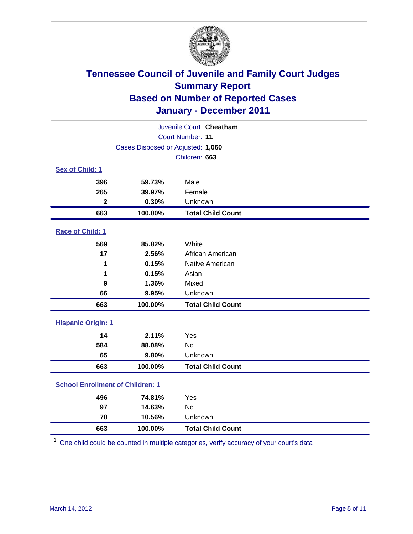

| Juvenile Court: Cheatham                |                                   |                          |  |  |
|-----------------------------------------|-----------------------------------|--------------------------|--|--|
|                                         | <b>Court Number: 11</b>           |                          |  |  |
|                                         | Cases Disposed or Adjusted: 1,060 |                          |  |  |
|                                         |                                   | Children: 663            |  |  |
| Sex of Child: 1                         |                                   |                          |  |  |
| 396                                     | 59.73%                            | Male                     |  |  |
| 265                                     | 39.97%                            | Female                   |  |  |
| $\mathbf{2}$                            | 0.30%                             | Unknown                  |  |  |
| 663                                     | 100.00%                           | <b>Total Child Count</b> |  |  |
| Race of Child: 1                        |                                   |                          |  |  |
| 569                                     | 85.82%                            | White                    |  |  |
| 17                                      | 2.56%                             | African American         |  |  |
| 1                                       | 0.15%                             | Native American          |  |  |
| 1                                       | 0.15%                             | Asian                    |  |  |
| 9                                       | 1.36%                             | Mixed                    |  |  |
| 66                                      | 9.95%                             | Unknown                  |  |  |
| 663                                     | 100.00%                           | <b>Total Child Count</b> |  |  |
| <b>Hispanic Origin: 1</b>               |                                   |                          |  |  |
| 14                                      | 2.11%                             | Yes                      |  |  |
| 584                                     | 88.08%                            | No                       |  |  |
| 65                                      | 9.80%                             | Unknown                  |  |  |
| 663                                     | 100.00%                           | <b>Total Child Count</b> |  |  |
| <b>School Enrollment of Children: 1</b> |                                   |                          |  |  |
| 496                                     | 74.81%                            | Yes                      |  |  |
| 97                                      | 14.63%                            | No                       |  |  |
| 70                                      | 10.56%                            | Unknown                  |  |  |
| 663                                     | 100.00%                           | <b>Total Child Count</b> |  |  |

One child could be counted in multiple categories, verify accuracy of your court's data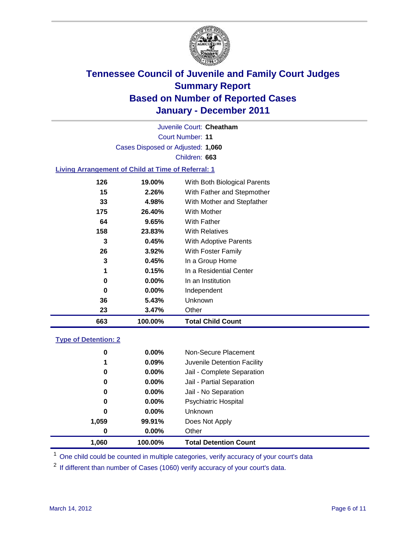

Court Number: **11** Juvenile Court: **Cheatham** Cases Disposed or Adjusted: **1,060** Children: **663**

### **Living Arrangement of Child at Time of Referral: 1**

| 23  | 3.47%    | Other                        |
|-----|----------|------------------------------|
| 36  | 5.43%    | Unknown                      |
| 0   | $0.00\%$ | Independent                  |
| 0   | $0.00\%$ | In an Institution            |
| 1   | 0.15%    | In a Residential Center      |
| 3   | 0.45%    | In a Group Home              |
| 26  | 3.92%    | With Foster Family           |
| 3   | 0.45%    | With Adoptive Parents        |
| 158 | 23.83%   | <b>With Relatives</b>        |
| 64  | 9.65%    | With Father                  |
| 175 | 26.40%   | With Mother                  |
| 33  | 4.98%    | With Mother and Stepfather   |
| 15  | 2.26%    | With Father and Stepmother   |
| 126 | 19.00%   | With Both Biological Parents |
|     |          |                              |

#### **Type of Detention: 2**

| 1,060    | 100.00%  | <b>Total Detention Count</b> |
|----------|----------|------------------------------|
| $\bf{0}$ | $0.00\%$ | Other                        |
| 1,059    | 99.91%   | Does Not Apply               |
| 0        | $0.00\%$ | <b>Unknown</b>               |
| 0        | $0.00\%$ | <b>Psychiatric Hospital</b>  |
| 0        | 0.00%    | Jail - No Separation         |
| 0        | $0.00\%$ | Jail - Partial Separation    |
| 0        | 0.00%    | Jail - Complete Separation   |
| 1        | 0.09%    | Juvenile Detention Facility  |
| 0        | $0.00\%$ | Non-Secure Placement         |
|          |          |                              |

<sup>1</sup> One child could be counted in multiple categories, verify accuracy of your court's data

<sup>2</sup> If different than number of Cases (1060) verify accuracy of your court's data.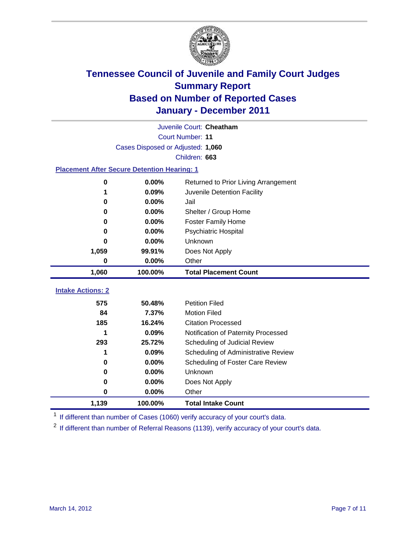

|                                                    | Juvenile Court: Cheatham          |                                      |  |  |  |
|----------------------------------------------------|-----------------------------------|--------------------------------------|--|--|--|
|                                                    | Court Number: 11                  |                                      |  |  |  |
|                                                    | Cases Disposed or Adjusted: 1,060 |                                      |  |  |  |
|                                                    |                                   | Children: 663                        |  |  |  |
| <b>Placement After Secure Detention Hearing: 1</b> |                                   |                                      |  |  |  |
| 0                                                  | 0.00%                             | Returned to Prior Living Arrangement |  |  |  |
| 1                                                  | 0.09%                             | Juvenile Detention Facility          |  |  |  |
| 0                                                  | 0.00%                             | Jail                                 |  |  |  |
| 0                                                  | 0.00%                             | Shelter / Group Home                 |  |  |  |
| 0                                                  | 0.00%                             | <b>Foster Family Home</b>            |  |  |  |
| 0                                                  | 0.00%                             | Psychiatric Hospital                 |  |  |  |
| 0                                                  | 0.00%                             | Unknown                              |  |  |  |
| 1,059                                              | 99.91%                            | Does Not Apply                       |  |  |  |
| 0                                                  | 0.00%                             | Other                                |  |  |  |
| 1,060                                              | 100.00%                           | <b>Total Placement Count</b>         |  |  |  |
|                                                    |                                   |                                      |  |  |  |
| <b>Intake Actions: 2</b>                           |                                   |                                      |  |  |  |
| 575                                                | 50.48%                            | <b>Petition Filed</b>                |  |  |  |
| 84                                                 | 7.37%                             | <b>Motion Filed</b>                  |  |  |  |
| 185                                                | 16.24%                            | <b>Citation Processed</b>            |  |  |  |
| 1                                                  | 0.09%                             | Notification of Paternity Processed  |  |  |  |
| 293                                                | 25.72%                            | Scheduling of Judicial Review        |  |  |  |
| 1                                                  | 0.09%                             | Scheduling of Administrative Review  |  |  |  |
| 0                                                  | 0.00%                             | Scheduling of Foster Care Review     |  |  |  |
| 0                                                  | 0.00%                             | <b>Unknown</b>                       |  |  |  |
| 0                                                  | 0.00%                             | Does Not Apply                       |  |  |  |
| 0                                                  | 0.00%                             | Other                                |  |  |  |
| 1,139                                              | 100.00%                           | <b>Total Intake Count</b>            |  |  |  |

<sup>1</sup> If different than number of Cases (1060) verify accuracy of your court's data.

<sup>2</sup> If different than number of Referral Reasons (1139), verify accuracy of your court's data.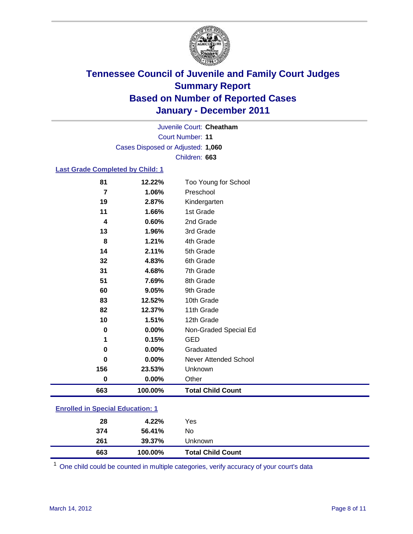

Court Number: **11** Juvenile Court: **Cheatham** Cases Disposed or Adjusted: **1,060** Children: **663**

### **Last Grade Completed by Child: 1**

| 81                                      | 12.22%  | Too Young for School         |  |
|-----------------------------------------|---------|------------------------------|--|
| 7                                       | 1.06%   | Preschool                    |  |
| 19                                      | 2.87%   | Kindergarten                 |  |
| 11                                      | 1.66%   | 1st Grade                    |  |
| 4                                       | 0.60%   | 2nd Grade                    |  |
| 13                                      | 1.96%   | 3rd Grade                    |  |
| 8                                       | 1.21%   | 4th Grade                    |  |
| 14                                      | 2.11%   | 5th Grade                    |  |
| 32                                      | 4.83%   | 6th Grade                    |  |
| 31                                      | 4.68%   | 7th Grade                    |  |
| 51                                      | 7.69%   | 8th Grade                    |  |
| 60                                      | 9.05%   | 9th Grade                    |  |
| 83                                      | 12.52%  | 10th Grade                   |  |
| 82                                      | 12.37%  | 11th Grade                   |  |
| 10                                      | 1.51%   | 12th Grade                   |  |
| $\bf{0}$                                | 0.00%   | Non-Graded Special Ed        |  |
| 1                                       | 0.15%   | <b>GED</b>                   |  |
| 0                                       | 0.00%   | Graduated                    |  |
| $\bf{0}$                                | 0.00%   | <b>Never Attended School</b> |  |
| 156                                     | 23.53%  | Unknown                      |  |
| $\bf{0}$                                | 0.00%   | Other                        |  |
| 663                                     | 100.00% | <b>Total Child Count</b>     |  |
| <b>Enrolled in Special Education: 1</b> |         |                              |  |

| 663                                       | 100.00% | <b>Total Child Count</b> |  |
|-------------------------------------------|---------|--------------------------|--|
| 261                                       | 39.37%  | <b>Unknown</b>           |  |
| 374                                       | 56.41%  | No                       |  |
| 28                                        | 4.22%   | Yes                      |  |
| <u>Einvilled in Opcolar Eugeneinen. I</u> |         |                          |  |

One child could be counted in multiple categories, verify accuracy of your court's data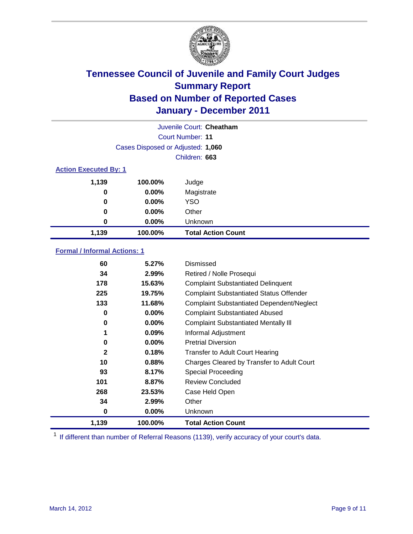

|                              | Juvenile Court: Cheatham          |                           |  |  |  |
|------------------------------|-----------------------------------|---------------------------|--|--|--|
|                              | Court Number: 11                  |                           |  |  |  |
|                              | Cases Disposed or Adjusted: 1,060 |                           |  |  |  |
|                              |                                   | Children: 663             |  |  |  |
| <b>Action Executed By: 1</b> |                                   |                           |  |  |  |
| 1,139                        | 100.00%                           | Judge                     |  |  |  |
| 0                            | $0.00\%$                          | Magistrate                |  |  |  |
| 0                            | $0.00\%$                          | <b>YSO</b>                |  |  |  |
| 0                            | $0.00\%$                          | Other                     |  |  |  |
| 0                            | 0.00%                             | Unknown                   |  |  |  |
| 1,139                        | 100.00%                           | <b>Total Action Count</b> |  |  |  |

### **Formal / Informal Actions: 1**

| 60           | 5.27%    | Dismissed                                        |
|--------------|----------|--------------------------------------------------|
| 34           | 2.99%    | Retired / Nolle Prosequi                         |
| 178          | 15.63%   | <b>Complaint Substantiated Delinquent</b>        |
| 225          | 19.75%   | <b>Complaint Substantiated Status Offender</b>   |
| 133          | 11.68%   | <b>Complaint Substantiated Dependent/Neglect</b> |
| 0            | $0.00\%$ | <b>Complaint Substantiated Abused</b>            |
| 0            | $0.00\%$ | <b>Complaint Substantiated Mentally III</b>      |
| 1            | 0.09%    | Informal Adjustment                              |
| 0            | $0.00\%$ | <b>Pretrial Diversion</b>                        |
| $\mathbf{2}$ | 0.18%    | <b>Transfer to Adult Court Hearing</b>           |
| 10           | 0.88%    | Charges Cleared by Transfer to Adult Court       |
| 93           | 8.17%    | Special Proceeding                               |
| 101          | 8.87%    | <b>Review Concluded</b>                          |
| 268          | 23.53%   | Case Held Open                                   |
| 34           | 2.99%    | Other                                            |
| 0            | $0.00\%$ | Unknown                                          |
| 1,139        | 100.00%  | Total Action Count                               |

<sup>1</sup> If different than number of Referral Reasons (1139), verify accuracy of your court's data.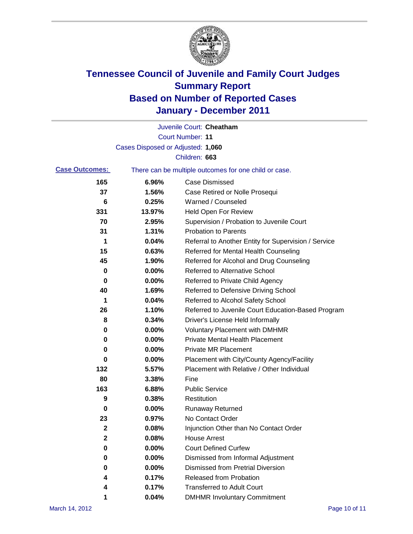

|                       |                                   | Juvenile Court: Cheatham                              |
|-----------------------|-----------------------------------|-------------------------------------------------------|
|                       |                                   | <b>Court Number: 11</b>                               |
|                       | Cases Disposed or Adjusted: 1,060 |                                                       |
|                       |                                   | Children: 663                                         |
| <b>Case Outcomes:</b> |                                   | There can be multiple outcomes for one child or case. |
| 165                   | 6.96%                             | <b>Case Dismissed</b>                                 |
| 37                    | 1.56%                             | Case Retired or Nolle Prosequi                        |
| 6                     | 0.25%                             | Warned / Counseled                                    |
| 331                   | 13.97%                            | <b>Held Open For Review</b>                           |
| 70                    | 2.95%                             | Supervision / Probation to Juvenile Court             |
| 31                    | 1.31%                             | <b>Probation to Parents</b>                           |
| 1                     | 0.04%                             | Referral to Another Entity for Supervision / Service  |
| 15                    | 0.63%                             | Referred for Mental Health Counseling                 |
| 45                    | 1.90%                             | Referred for Alcohol and Drug Counseling              |
| 0                     | 0.00%                             | <b>Referred to Alternative School</b>                 |
| 0                     | 0.00%                             | Referred to Private Child Agency                      |
| 40                    | 1.69%                             | Referred to Defensive Driving School                  |
| 1                     | 0.04%                             | Referred to Alcohol Safety School                     |
| 26                    | 1.10%                             | Referred to Juvenile Court Education-Based Program    |
| 8                     | 0.34%                             | Driver's License Held Informally                      |
| 0                     | 0.00%                             | <b>Voluntary Placement with DMHMR</b>                 |
| 0                     | 0.00%                             | <b>Private Mental Health Placement</b>                |
| 0                     | 0.00%                             | <b>Private MR Placement</b>                           |
| 0                     | 0.00%                             | Placement with City/County Agency/Facility            |
| 132                   | 5.57%                             | Placement with Relative / Other Individual            |
| 80                    | 3.38%                             | Fine                                                  |
| 163                   | 6.88%                             | <b>Public Service</b>                                 |
| 9                     | 0.38%                             | Restitution                                           |
| 0                     | 0.00%                             | <b>Runaway Returned</b>                               |
| 23                    | 0.97%                             | No Contact Order                                      |
| 2                     | 0.08%                             | Injunction Other than No Contact Order                |
| $\mathbf 2$           | 0.08%                             | <b>House Arrest</b>                                   |
| 0                     | 0.00%                             | <b>Court Defined Curfew</b>                           |
| 0                     | 0.00%                             | Dismissed from Informal Adjustment                    |
| 0                     | 0.00%                             | <b>Dismissed from Pretrial Diversion</b>              |
| 4                     | 0.17%                             | Released from Probation                               |
| 4                     | 0.17%                             | <b>Transferred to Adult Court</b>                     |
| 1                     | 0.04%                             | <b>DMHMR Involuntary Commitment</b>                   |